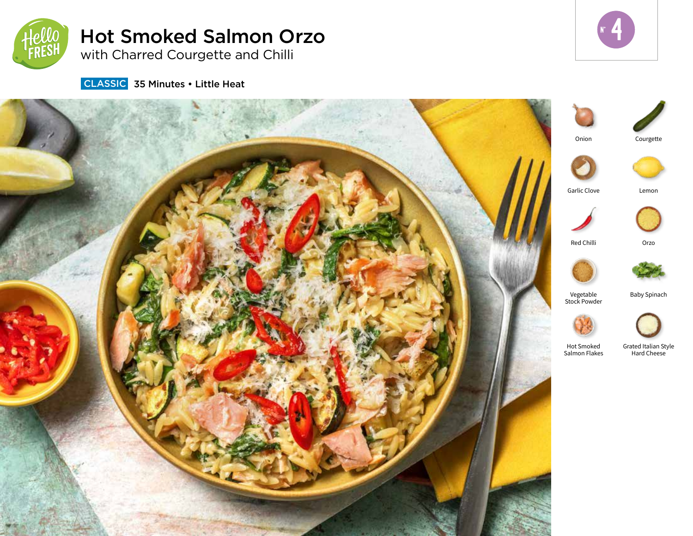

# Hot Smoked Salmon Orzo with Charred Courgette and Chilli

 $r<sub>4</sub>$